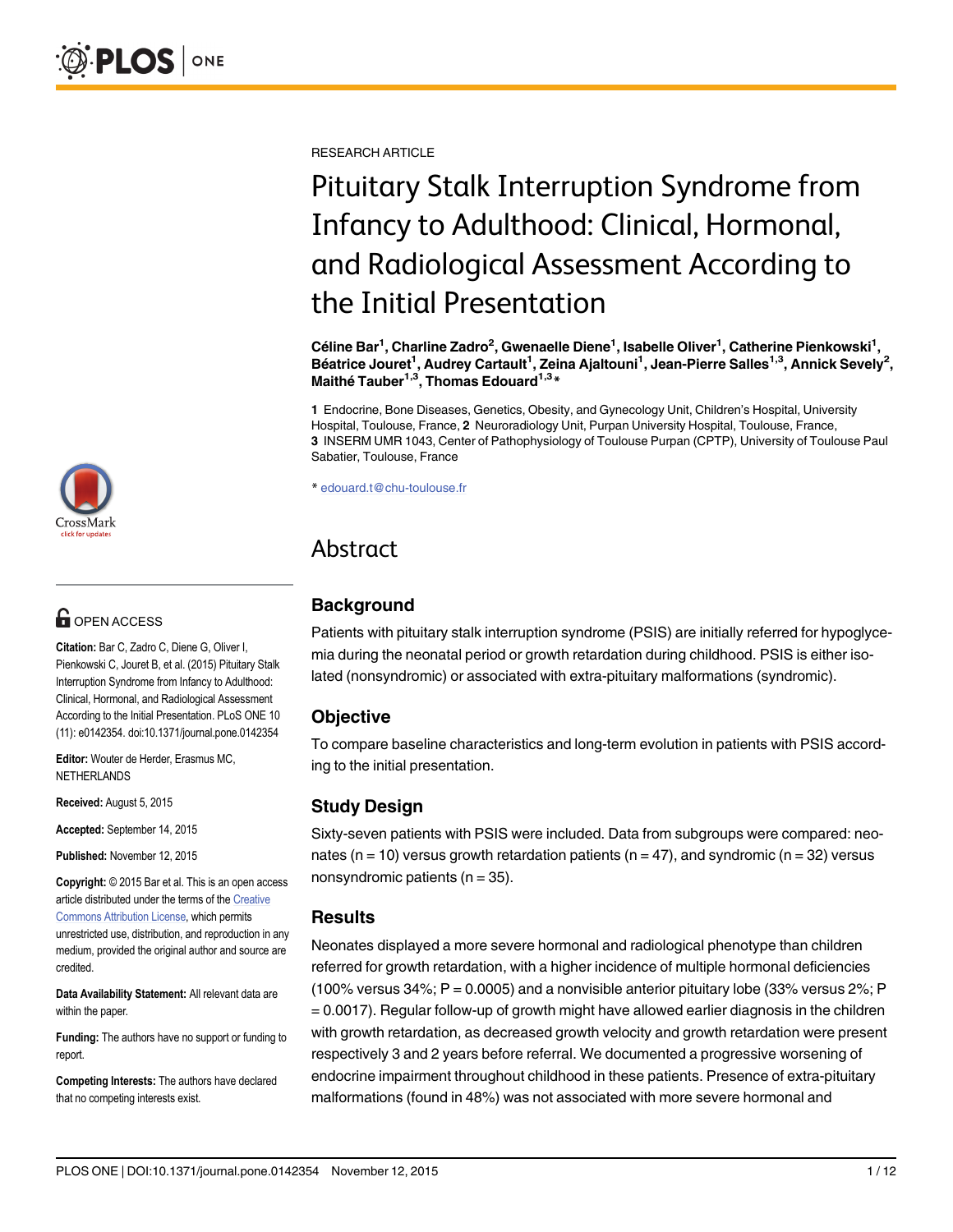

# **G** OPEN ACCESS

Citation: Bar C, Zadro C, Diene G, Oliver I, Pienkowski C, Jouret B, et al. (2015) Pituitary Stalk Interruption Syndrome from Infancy to Adulthood: Clinical, Hormonal, and Radiological Assessment According to the Initial Presentation. PLoS ONE 10 (11): e0142354. doi:10.1371/journal.pone.0142354

Editor: Wouter de Herder, Erasmus MC, NETHERLANDS

Received: August 5, 2015

Accepted: September 14, 2015

Published: November 12, 2015

Copyright: © 2015 Bar et al. This is an open access article distributed under the terms of the [Creative](http://creativecommons.org/licenses/by/4.0/) [Commons Attribution License](http://creativecommons.org/licenses/by/4.0/), which permits unrestricted use, distribution, and reproduction in any medium, provided the original author and source are credited.

Data Availability Statement: All relevant data are within the paper.

Funding: The authors have no support or funding to report.

Competing Interests: The authors have declared that no competing interests exist.

RESEARCH ARTICLE

# Pituitary Stalk Interruption Syndrome from Infancy to Adulthood: Clinical, Hormonal, and Radiological Assessment According to the Initial Presentation

Céline Bar<sup>1</sup>, Charline Zadro<sup>2</sup>, Gwenaelle Diene<sup>1</sup>, Isabelle Oliver<sup>1</sup>, Catherine Pienkowski<sup>1</sup>, Béatrice Jouret<sup>1</sup>, Audrey Cartault<sup>1</sup>, Zeina Ajaltouni<sup>1</sup>, Jean-Pierre Salles<sup>1,3</sup>, Annick Sevely<sup>2</sup>, Maithé Tauber<sup>1,3</sup>, Thomas Edouard<sup>1,3\*</sup>

1 Endocrine, Bone Diseases, Genetics, Obesity, and Gynecology Unit, Children's Hospital, University Hospital, Toulouse, France, 2 Neuroradiology Unit, Purpan University Hospital, Toulouse, France, 3 INSERM UMR 1043, Center of Pathophysiology of Toulouse Purpan (CPTP), University of Toulouse Paul Sabatier, Toulouse, France

\* edouard.t@chu-toulouse.fr

# Abstract

# **Background**

Patients with pituitary stalk interruption syndrome (PSIS) are initially referred for hypoglycemia during the neonatal period or growth retardation during childhood. PSIS is either isolated (nonsyndromic) or associated with extra-pituitary malformations (syndromic).

# **Objective**

To compare baseline characteristics and long-term evolution in patients with PSIS according to the initial presentation.

# Study Design

Sixty-seven patients with PSIS were included. Data from subgroups were compared: neonates ( $n = 10$ ) versus growth retardation patients ( $n = 47$ ), and syndromic ( $n = 32$ ) versus nonsyndromic patients ( $n = 35$ ).

# Results

Neonates displayed a more severe hormonal and radiological phenotype than children referred for growth retardation, with a higher incidence of multiple hormonal deficiencies (100% versus  $34\%$ ; P = 0.0005) and a nonvisible anterior pituitary lobe (33% versus  $2\%$ ; P = 0.0017). Regular follow-up of growth might have allowed earlier diagnosis in the children with growth retardation, as decreased growth velocity and growth retardation were present respectively 3 and 2 years before referral. We documented a progressive worsening of endocrine impairment throughout childhood in these patients. Presence of extra-pituitary malformations (found in 48%) was not associated with more severe hormonal and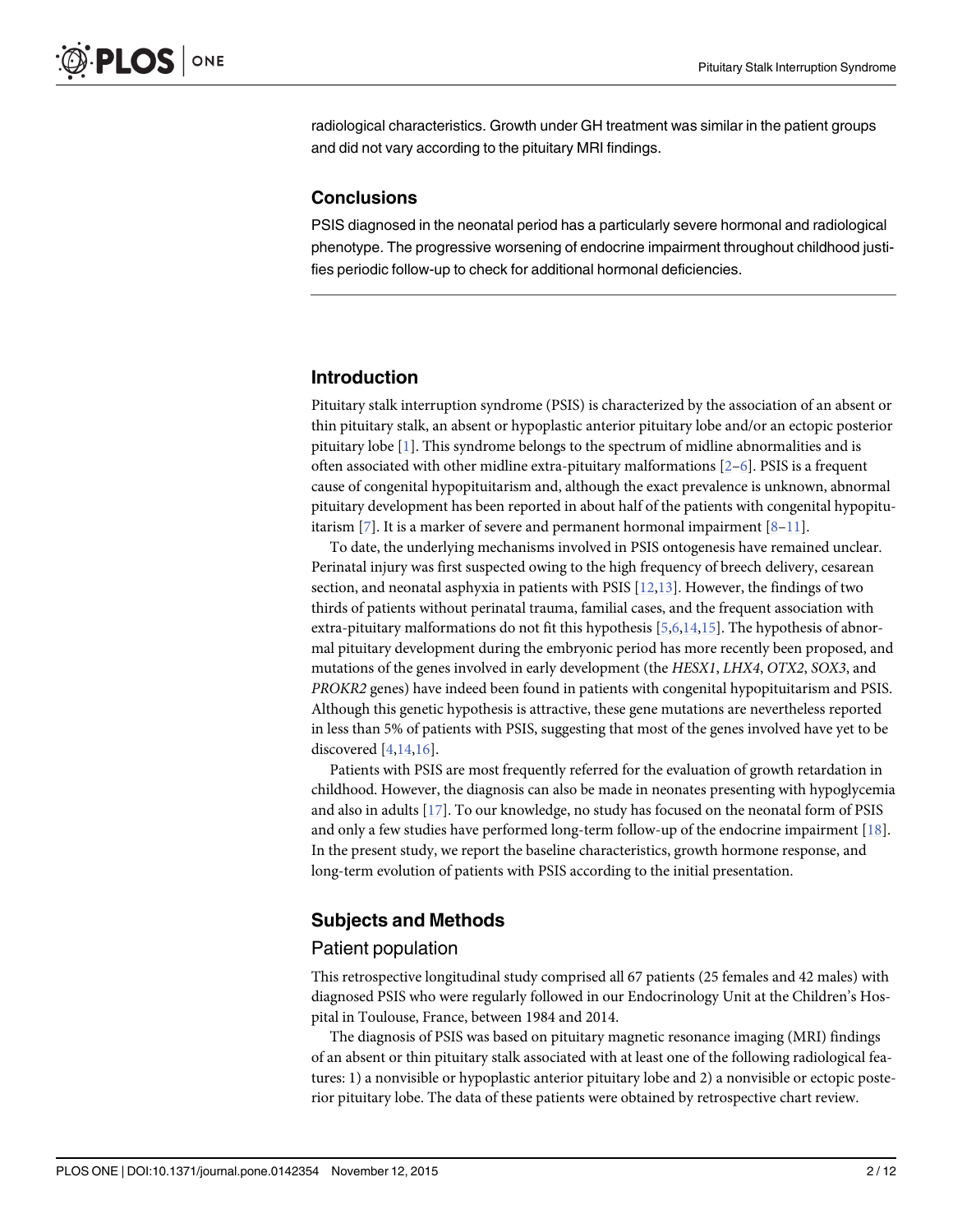<span id="page-1-0"></span>radiological characteristics. Growth under GH treatment was similar in the patient groups and did not vary according to the pituitary MRI findings.

# **Conclusions**

PSIS diagnosed in the neonatal period has a particularly severe hormonal and radiological phenotype. The progressive worsening of endocrine impairment throughout childhood justifies periodic follow-up to check for additional hormonal deficiencies.

# Introduction

Pituitary stalk interruption syndrome (PSIS) is characterized by the association of an absent or thin pituitary stalk, an absent or hypoplastic anterior pituitary lobe and/or an ectopic posterior pituitary lobe  $[1]$  $[1]$ . This syndrome belongs to the spectrum of midline abnormalities and is often associated with other midline extra-pituitary malformations  $[2-6]$  $[2-6]$  $[2-6]$  $[2-6]$  $[2-6]$ . PSIS is a frequent cause of congenital hypopituitarism and, although the exact prevalence is unknown, abnormal pituitary development has been reported in about half of the patients with congenital hypopituitarism  $[7]$  $[7]$ . It is a marker of severe and permanent hormonal impairment  $[8-11]$  $[8-11]$  $[8-11]$ .

To date, the underlying mechanisms involved in PSIS ontogenesis have remained unclear. Perinatal injury was first suspected owing to the high frequency of breech delivery, cesarean section, and neonatal asphyxia in patients with PSIS  $[12,13]$  $[12,13]$  $[12,13]$ . However, the findings of two thirds of patients without perinatal trauma, familial cases, and the frequent association with extra-pituitary malformations do not fit this hypothesis [[5,6,14](#page-10-0),[15](#page-11-0)]. The hypothesis of abnormal pituitary development during the embryonic period has more recently been proposed, and mutations of the genes involved in early development (the HESX1, LHX4, OTX2, SOX3, and PROKR2 genes) have indeed been found in patients with congenital hypopituitarism and PSIS. Although this genetic hypothesis is attractive, these gene mutations are nevertheless reported in less than 5% of patients with PSIS, suggesting that most of the genes involved have yet to be discovered  $[4,14,16]$  $[4,14,16]$  $[4,14,16]$ .

Patients with PSIS are most frequently referred for the evaluation of growth retardation in childhood. However, the diagnosis can also be made in neonates presenting with hypoglycemia and also in adults [[17](#page-11-0)]. To our knowledge, no study has focused on the neonatal form of PSIS and only a few studies have performed long-term follow-up of the endocrine impairment [\[18\]](#page-11-0). In the present study, we report the baseline characteristics, growth hormone response, and long-term evolution of patients with PSIS according to the initial presentation.

# Subjects and Methods

#### Patient population

This retrospective longitudinal study comprised all 67 patients (25 females and 42 males) with diagnosed PSIS who were regularly followed in our Endocrinology Unit at the Children's Hospital in Toulouse, France, between 1984 and 2014.

The diagnosis of PSIS was based on pituitary magnetic resonance imaging (MRI) findings of an absent or thin pituitary stalk associated with at least one of the following radiological features: 1) a nonvisible or hypoplastic anterior pituitary lobe and 2) a nonvisible or ectopic posterior pituitary lobe. The data of these patients were obtained by retrospective chart review.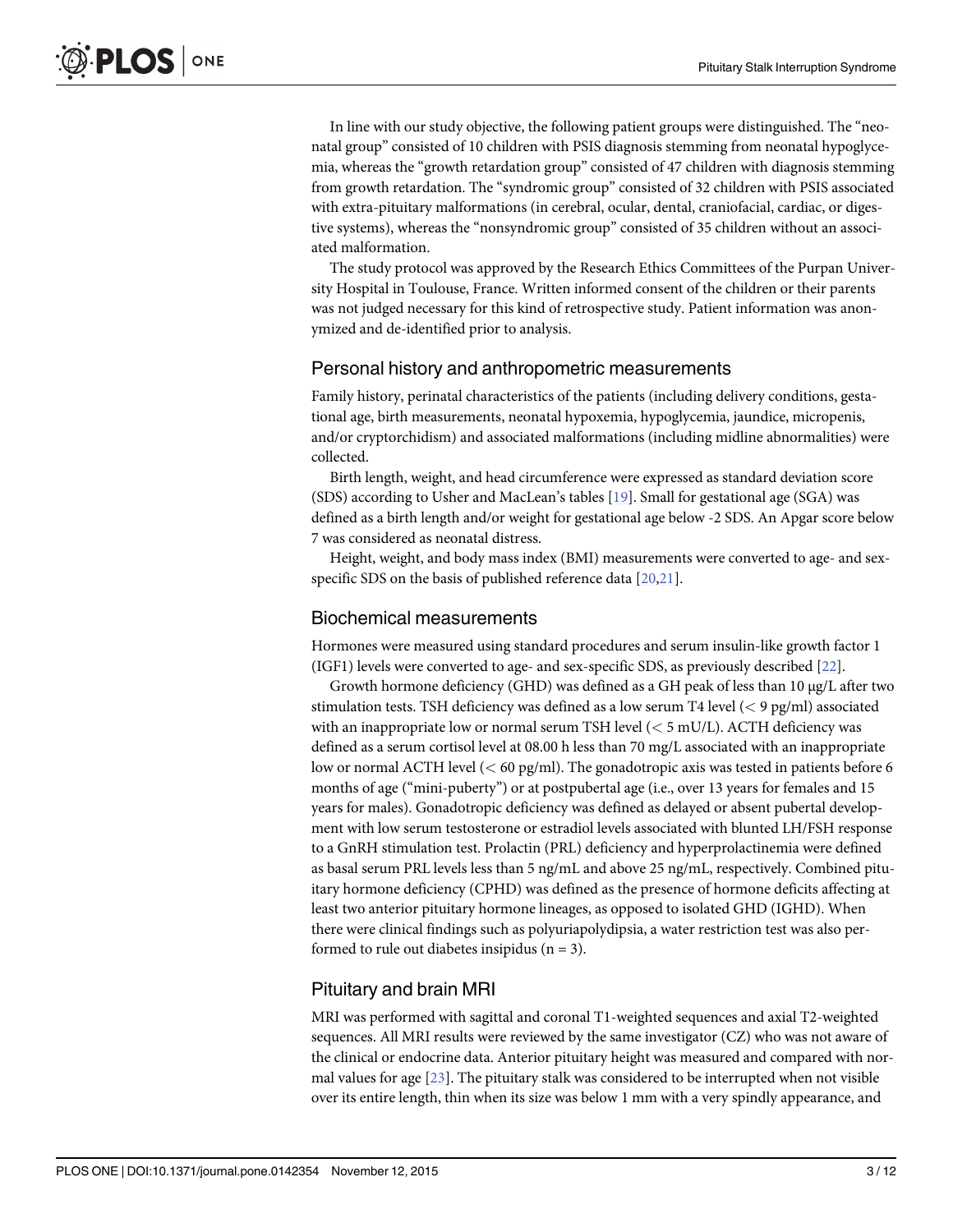<span id="page-2-0"></span>In line with our study objective, the following patient groups were distinguished. The "neonatal group" consisted of 10 children with PSIS diagnosis stemming from neonatal hypoglycemia, whereas the "growth retardation group" consisted of 47 children with diagnosis stemming from growth retardation. The "syndromic group" consisted of 32 children with PSIS associated with extra-pituitary malformations (in cerebral, ocular, dental, craniofacial, cardiac, or digestive systems), whereas the "nonsyndromic group" consisted of 35 children without an associated malformation.

The study protocol was approved by the Research Ethics Committees of the Purpan University Hospital in Toulouse, France. Written informed consent of the children or their parents was not judged necessary for this kind of retrospective study. Patient information was anonymized and de-identified prior to analysis.

#### Personal history and anthropometric measurements

Family history, perinatal characteristics of the patients (including delivery conditions, gestational age, birth measurements, neonatal hypoxemia, hypoglycemia, jaundice, micropenis, and/or cryptorchidism) and associated malformations (including midline abnormalities) were collected.

Birth length, weight, and head circumference were expressed as standard deviation score (SDS) according to Usher and MacLean's tables [[19\]](#page-11-0). Small for gestational age (SGA) was defined as a birth length and/or weight for gestational age below -2 SDS. An Apgar score below 7 was considered as neonatal distress.

Height, weight, and body mass index (BMI) measurements were converted to age- and sexspecific SDS on the basis of published reference data [[20,21](#page-11-0)].

#### Biochemical measurements

Hormones were measured using standard procedures and serum insulin-like growth factor 1 (IGF1) levels were converted to age- and sex-specific SDS, as previously described [\[22\]](#page-11-0).

Growth hormone deficiency (GHD) was defined as a GH peak of less than 10 μg/L after two stimulation tests. TSH deficiency was defined as a low serum T4 level (< 9 pg/ml) associated with an inappropriate low or normal serum TSH level  $(< 5$  mU/L). ACTH deficiency was defined as a serum cortisol level at 08.00 h less than 70 mg/L associated with an inappropriate low or normal ACTH level (< 60 pg/ml). The gonadotropic axis was tested in patients before 6 months of age ("mini-puberty") or at postpubertal age (i.e., over 13 years for females and 15 years for males). Gonadotropic deficiency was defined as delayed or absent pubertal development with low serum testosterone or estradiol levels associated with blunted LH/FSH response to a GnRH stimulation test. Prolactin (PRL) deficiency and hyperprolactinemia were defined as basal serum PRL levels less than 5 ng/mL and above 25 ng/mL, respectively. Combined pituitary hormone deficiency (CPHD) was defined as the presence of hormone deficits affecting at least two anterior pituitary hormone lineages, as opposed to isolated GHD (IGHD). When there were clinical findings such as polyuriapolydipsia, a water restriction test was also performed to rule out diabetes insipidus  $(n = 3)$ .

#### Pituitary and brain MRI

MRI was performed with sagittal and coronal T1-weighted sequences and axial T2-weighted sequences. All MRI results were reviewed by the same investigator (CZ) who was not aware of the clinical or endocrine data. Anterior pituitary height was measured and compared with normal values for age  $[23]$  $[23]$ . The pituitary stalk was considered to be interrupted when not visible over its entire length, thin when its size was below 1 mm with a very spindly appearance, and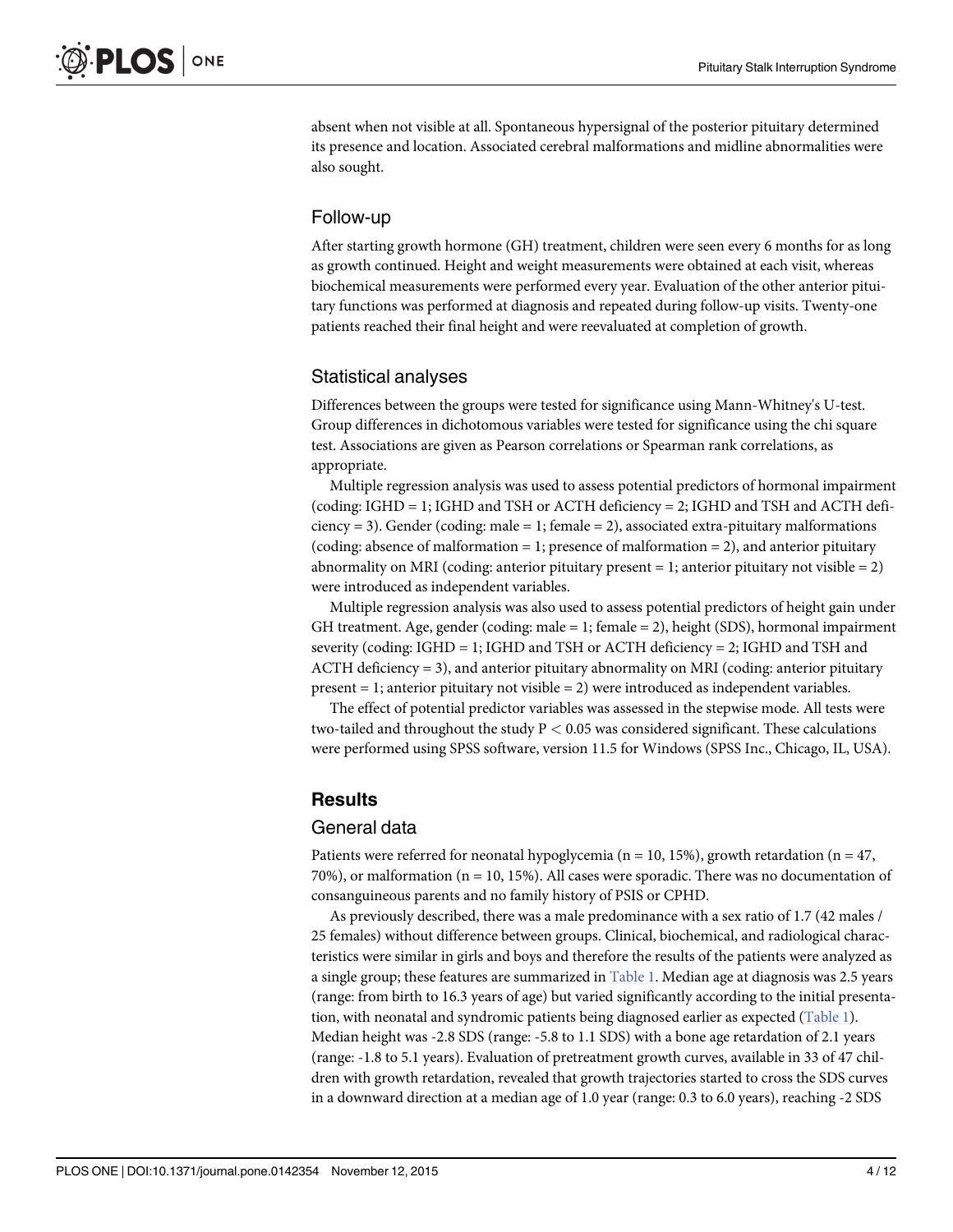<span id="page-3-0"></span>absent when not visible at all. Spontaneous hypersignal of the posterior pituitary determined its presence and location. Associated cerebral malformations and midline abnormalities were also sought.

#### Follow-up

After starting growth hormone (GH) treatment, children were seen every 6 months for as long as growth continued. Height and weight measurements were obtained at each visit, whereas biochemical measurements were performed every year. Evaluation of the other anterior pituitary functions was performed at diagnosis and repeated during follow-up visits. Twenty-one patients reached their final height and were reevaluated at completion of growth.

# Statistical analyses

Differences between the groups were tested for significance using Mann-Whitney's U-test. Group differences in dichotomous variables were tested for significance using the chi square test. Associations are given as Pearson correlations or Spearman rank correlations, as appropriate.

Multiple regression analysis was used to assess potential predictors of hormonal impairment (coding: IGHD = 1; IGHD and TSH or ACTH deficiency = 2; IGHD and TSH and ACTH deficiency = 3). Gender (coding: male = 1; female = 2), associated extra-pituitary malformations (coding: absence of malformation = 1; presence of malformation = 2), and anterior pituitary abnormality on MRI (coding: anterior pituitary present  $= 1$ ; anterior pituitary not visible  $= 2$ ) were introduced as independent variables.

Multiple regression analysis was also used to assess potential predictors of height gain under GH treatment. Age, gender (coding: male = 1; female = 2), height (SDS), hormonal impairment severity (coding: IGHD = 1; IGHD and TSH or ACTH deficiency = 2; IGHD and TSH and ACTH deficiency = 3), and anterior pituitary abnormality on MRI (coding: anterior pituitary present  $= 1$ ; anterior pituitary not visible  $= 2$ ) were introduced as independent variables.

The effect of potential predictor variables was assessed in the stepwise mode. All tests were two-tailed and throughout the study  $P < 0.05$  was considered significant. These calculations were performed using SPSS software, version 11.5 for Windows (SPSS Inc., Chicago, IL, USA).

# **Results**

#### General data

Patients were referred for neonatal hypoglycemia ( $n = 10$ , 15%), growth retardation ( $n = 47$ , 70%), or malformation (n = 10, 15%). All cases were sporadic. There was no documentation of consanguineous parents and no family history of PSIS or CPHD.

As previously described, there was a male predominance with a sex ratio of 1.7 (42 males / 25 females) without difference between groups. Clinical, biochemical, and radiological characteristics were similar in girls and boys and therefore the results of the patients were analyzed as a single group; these features are summarized in [Table 1](#page-4-0). Median age at diagnosis was 2.5 years (range: from birth to 16.3 years of age) but varied significantly according to the initial presenta-tion, with neonatal and syndromic patients being diagnosed earlier as expected ([Table 1](#page-4-0)). Median height was -2.8 SDS (range: -5.8 to 1.1 SDS) with a bone age retardation of 2.1 years (range: -1.8 to 5.1 years). Evaluation of pretreatment growth curves, available in 33 of 47 children with growth retardation, revealed that growth trajectories started to cross the SDS curves in a downward direction at a median age of 1.0 year (range: 0.3 to 6.0 years), reaching -2 SDS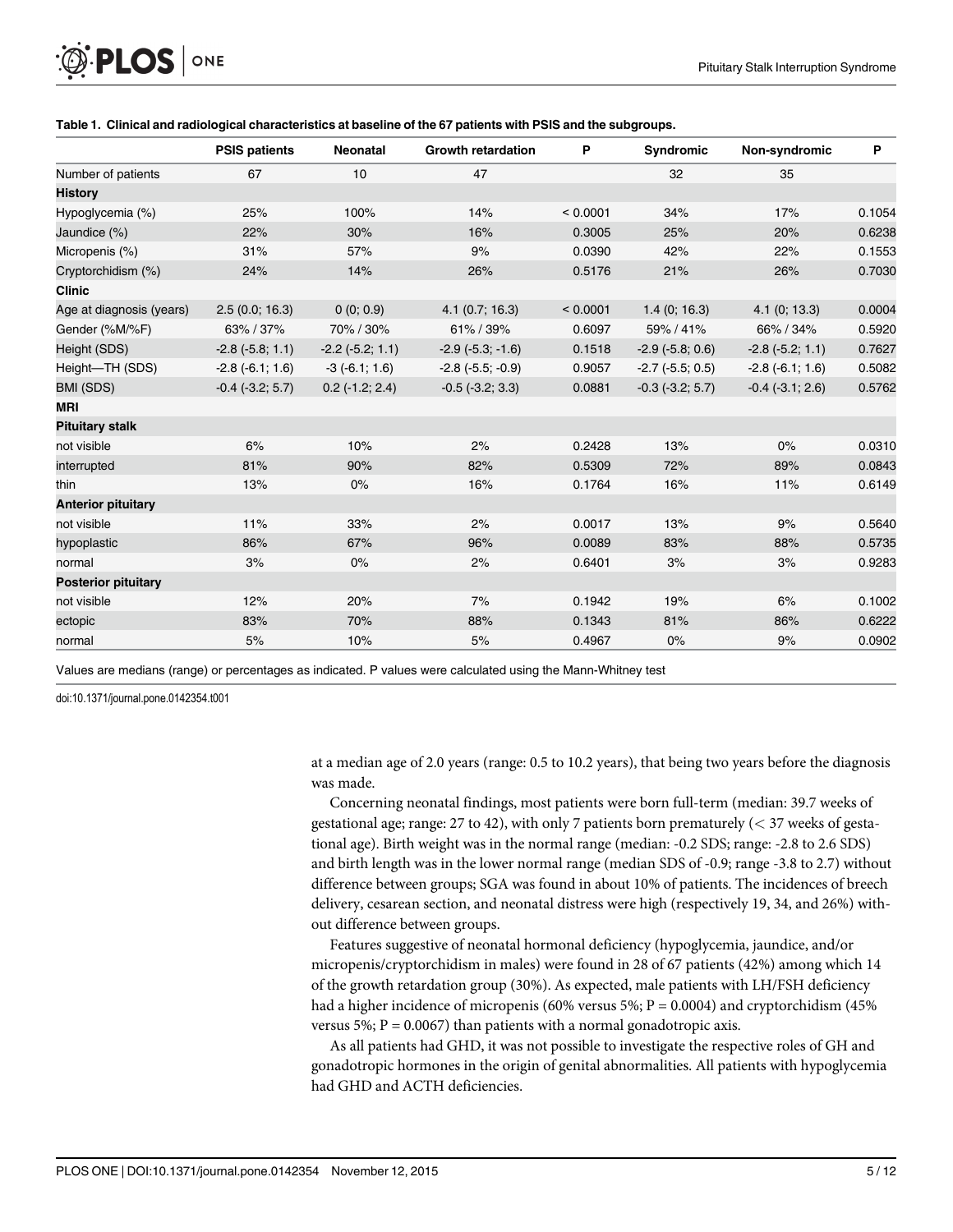<span id="page-4-0"></span>

|                            | <b>PSIS patients</b> | <b>Neonatal</b>       | <b>Growth retardation</b>  | P        | <b>Syndromic</b>       | Non-syndromic        | P      |
|----------------------------|----------------------|-----------------------|----------------------------|----------|------------------------|----------------------|--------|
| Number of patients         | 67                   | 10                    | 47                         |          | 32                     | 35                   |        |
| <b>History</b>             |                      |                       |                            |          |                        |                      |        |
| Hypoglycemia (%)           | 25%                  | 100%                  | 14%                        | < 0.0001 | 34%                    | 17%                  | 0.1054 |
| Jaundice (%)               | 22%                  | 30%                   | 16%                        | 0.3005   | 25%                    | 20%                  | 0.6238 |
| Micropenis (%)             | 31%                  | 57%                   | 9%                         | 0.0390   | 42%                    | 22%                  | 0.1553 |
| Cryptorchidism (%)         | 24%                  | 14%                   | 26%                        | 0.5176   | 21%                    | 26%                  | 0.7030 |
| <b>Clinic</b>              |                      |                       |                            |          |                        |                      |        |
| Age at diagnosis (years)   | 2.5(0.0; 16.3)       | 0(0; 0.9)             | $4.1$ (0.7; 16.3)          | < 0.0001 | 1.4(0; 16.3)           | 4.1(0; 13.3)         | 0.0004 |
| Gender (%M/%F)             | 63% / 37%            | 70% / 30%             | 61% / 39%                  | 0.6097   | 59% / 41%              | 66% / 34%            | 0.5920 |
| Height (SDS)               | $-2.8(-5.8; 1.1)$    | $-2.2$ $(-5.2; 1.1)$  | $-2.9$ $(-5.3, -1.6)$      | 0.1518   | $-2.9$ $(-5.8; 0.6)$   | $-2.8$ $(-5.2; 1.1)$ | 0.7627 |
| Height-TH (SDS)            | $-2.8(-6.1; 1.6)$    | $-3(-6.1; 1.6)$       | $-2.8$ ( $-5.5$ ; $-0.9$ ) | 0.9057   | $-2.7$ ( $-5.5$ ; 0.5) | $-2.8(-6.1; 1.6)$    | 0.5082 |
| BMI (SDS)                  | $-0.4$ $(-3.2; 5.7)$ | $0.2$ ( $-1.2$ ; 2.4) | $-0.5$ $(-3.2; 3.3)$       | 0.0881   | $-0.3$ $(-3.2; 5.7)$   | $-0.4$ $(-3.1; 2.6)$ | 0.5762 |
| <b>MRI</b>                 |                      |                       |                            |          |                        |                      |        |
| <b>Pituitary stalk</b>     |                      |                       |                            |          |                        |                      |        |
| not visible                | 6%                   | 10%                   | 2%                         | 0.2428   | 13%                    | 0%                   | 0.0310 |
| interrupted                | 81%                  | 90%                   | 82%                        | 0.5309   | 72%                    | 89%                  | 0.0843 |
| thin                       | 13%                  | 0%                    | 16%                        | 0.1764   | 16%                    | 11%                  | 0.6149 |
| <b>Anterior pituitary</b>  |                      |                       |                            |          |                        |                      |        |
| not visible                | 11%                  | 33%                   | 2%                         | 0.0017   | 13%                    | 9%                   | 0.5640 |
| hypoplastic                | 86%                  | 67%                   | 96%                        | 0.0089   | 83%                    | 88%                  | 0.5735 |
| normal                     | 3%                   | 0%                    | 2%                         | 0.6401   | 3%                     | 3%                   | 0.9283 |
| <b>Posterior pituitary</b> |                      |                       |                            |          |                        |                      |        |
| not visible                | 12%                  | 20%                   | 7%                         | 0.1942   | 19%                    | 6%                   | 0.1002 |
| ectopic                    | 83%                  | 70%                   | 88%                        | 0.1343   | 81%                    | 86%                  | 0.6222 |
| normal                     | 5%                   | 10%                   | 5%                         | 0.4967   | 0%                     | 9%                   | 0.0902 |

#### [Table 1.](#page-3-0) Clinical and radiological characteristics at baseline of the 67 patients with PSIS and the subgroups.

Values are medians (range) or percentages as indicated. P values were calculated using the Mann-Whitney test

doi:10.1371/journal.pone.0142354.t001

at a median age of 2.0 years (range: 0.5 to 10.2 years), that being two years before the diagnosis was made.

Concerning neonatal findings, most patients were born full-term (median: 39.7 weeks of gestational age; range:  $27$  to  $42$ ), with only 7 patients born prematurely ( $\lt 37$  weeks of gestational age). Birth weight was in the normal range (median: -0.2 SDS; range: -2.8 to 2.6 SDS) and birth length was in the lower normal range (median SDS of -0.9; range -3.8 to 2.7) without difference between groups; SGA was found in about 10% of patients. The incidences of breech delivery, cesarean section, and neonatal distress were high (respectively 19, 34, and 26%) without difference between groups.

Features suggestive of neonatal hormonal deficiency (hypoglycemia, jaundice, and/or micropenis/cryptorchidism in males) were found in 28 of 67 patients (42%) among which 14 of the growth retardation group (30%). As expected, male patients with LH/FSH deficiency had a higher incidence of micropenis (60% versus 5%;  $P = 0.0004$ ) and cryptorchidism (45%) versus 5%;  $P = 0.0067$ ) than patients with a normal gonadotropic axis.

As all patients had GHD, it was not possible to investigate the respective roles of GH and gonadotropic hormones in the origin of genital abnormalities. All patients with hypoglycemia had GHD and ACTH deficiencies.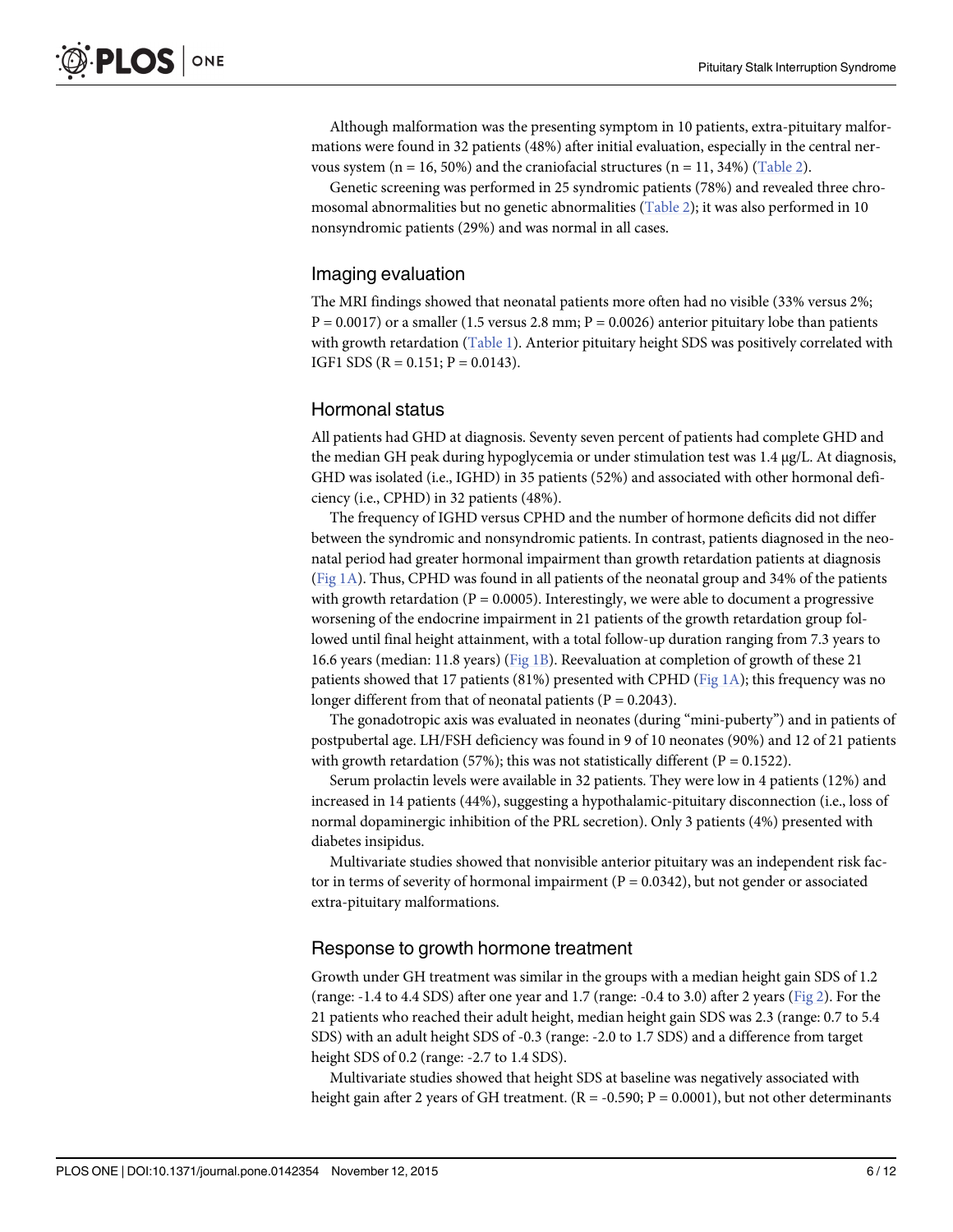<span id="page-5-0"></span>Although malformation was the presenting symptom in 10 patients, extra-pituitary malformations were found in 32 patients (48%) after initial evaluation, especially in the central nervous system ( $n = 16, 50\%$ ) and the craniofacial structures ( $n = 11, 34\%$ ) ([Table 2](#page-6-0)).

Genetic screening was performed in 25 syndromic patients (78%) and revealed three chromosomal abnormalities but no genetic abnormalities [\(Table 2\)](#page-6-0); it was also performed in 10 nonsyndromic patients (29%) and was normal in all cases.

# Imaging evaluation

The MRI findings showed that neonatal patients more often had no visible (33% versus 2%;  $P = 0.0017$ ) or a smaller (1.5 versus 2.8 mm;  $P = 0.0026$ ) anterior pituitary lobe than patients with growth retardation  $(Table 1)$  $(Table 1)$ . Anterior pituitary height SDS was positively correlated with IGF1 SDS ( $R = 0.151$ ;  $P = 0.0143$ ).

# Hormonal status

All patients had GHD at diagnosis. Seventy seven percent of patients had complete GHD and the median GH peak during hypoglycemia or under stimulation test was 1.4 μg/L. At diagnosis, GHD was isolated (i.e., IGHD) in 35 patients (52%) and associated with other hormonal deficiency (i.e., CPHD) in 32 patients (48%).

The frequency of IGHD versus CPHD and the number of hormone deficits did not differ between the syndromic and nonsyndromic patients. In contrast, patients diagnosed in the neonatal period had greater hormonal impairment than growth retardation patients at diagnosis (Fig  $1A$ ). Thus, CPHD was found in all patients of the neonatal group and 34% of the patients with growth retardation ( $P = 0.0005$ ). Interestingly, we were able to document a progressive worsening of the endocrine impairment in 21 patients of the growth retardation group followed until final height attainment, with a total follow-up duration ranging from 7.3 years to 16.6 years (median: 11.8 years) [\(Fig 1B\)](#page-7-0). Reevaluation at completion of growth of these 21 patients showed that 17 patients (81%) presented with CPHD (Fig  $1\text{A}$ ); this frequency was no longer different from that of neonatal patients ( $P = 0.2043$ ).

The gonadotropic axis was evaluated in neonates (during "mini-puberty") and in patients of postpubertal age. LH/FSH deficiency was found in 9 of 10 neonates (90%) and 12 of 21 patients with growth retardation (57%); this was not statistically different ( $P = 0.1522$ ).

Serum prolactin levels were available in 32 patients. They were low in 4 patients (12%) and increased in 14 patients (44%), suggesting a hypothalamic-pituitary disconnection (i.e., loss of normal dopaminergic inhibition of the PRL secretion). Only 3 patients (4%) presented with diabetes insipidus.

Multivariate studies showed that nonvisible anterior pituitary was an independent risk factor in terms of severity of hormonal impairment ( $P = 0.0342$ ), but not gender or associated extra-pituitary malformations.

# Response to growth hormone treatment

Growth under GH treatment was similar in the groups with a median height gain SDS of 1.2 (range:  $-1.4$  to  $4.4$  SDS) after one year and 1.7 (range:  $-0.4$  to 3.0) after 2 years [\(Fig 2](#page-8-0)). For the 21 patients who reached their adult height, median height gain SDS was 2.3 (range: 0.7 to 5.4 SDS) with an adult height SDS of -0.3 (range: -2.0 to 1.7 SDS) and a difference from target height SDS of 0.2 (range: -2.7 to 1.4 SDS).

Multivariate studies showed that height SDS at baseline was negatively associated with height gain after 2 years of GH treatment.  $(R = -0.590; P = 0.0001)$ , but not other determinants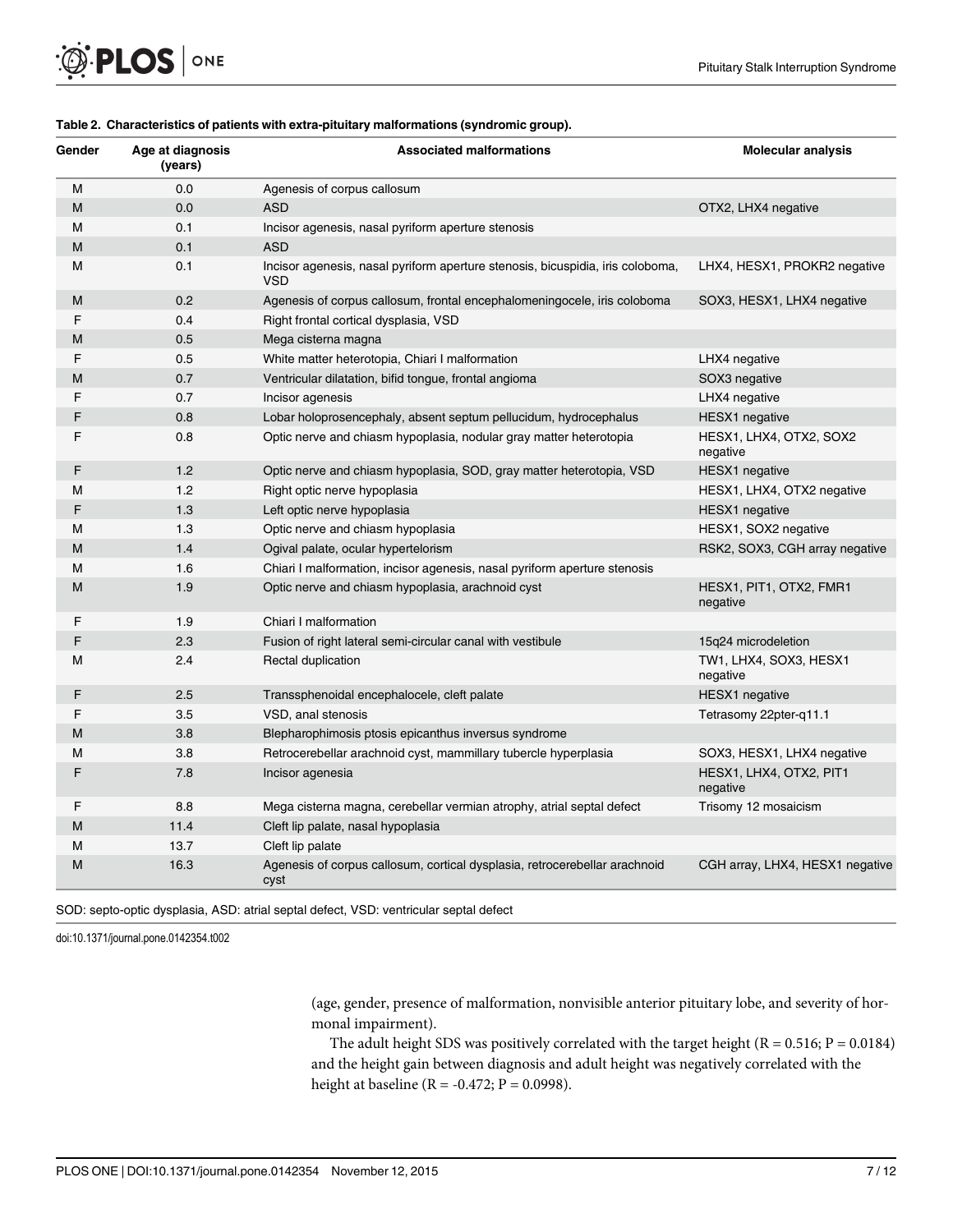<span id="page-6-0"></span>

| <b>O PLOS</b> ONE |  |
|-------------------|--|
|-------------------|--|

| Gender | Age at diagnosis<br>(years) | <b>Associated malformations</b>                                                              | <b>Molecular analysis</b>           |
|--------|-----------------------------|----------------------------------------------------------------------------------------------|-------------------------------------|
| M      | 0.0                         | Agenesis of corpus callosum                                                                  |                                     |
| M      | 0.0                         | <b>ASD</b>                                                                                   | OTX2, LHX4 negative                 |
| М      | 0.1                         | Incisor agenesis, nasal pyriform aperture stenosis                                           |                                     |
| M      | 0.1                         | <b>ASD</b>                                                                                   |                                     |
| м      | 0.1                         | Incisor agenesis, nasal pyriform aperture stenosis, bicuspidia, iris coloboma,<br><b>VSD</b> | LHX4, HESX1, PROKR2 negative        |
| М      | 0.2                         | Agenesis of corpus callosum, frontal encephalomeningocele, iris coloboma                     | SOX3, HESX1, LHX4 negative          |
| F      | 0.4                         | Right frontal cortical dysplasia, VSD                                                        |                                     |
| м      | 0.5                         | Mega cisterna magna                                                                          |                                     |
| F      | 0.5                         | White matter heterotopia, Chiari I malformation                                              | LHX4 negative                       |
| м      | 0.7                         | Ventricular dilatation, bifid tongue, frontal angioma                                        | SOX3 negative                       |
| F      | 0.7                         | Incisor agenesis                                                                             | LHX4 negative                       |
| F      | 0.8                         | Lobar holoprosencephaly, absent septum pellucidum, hydrocephalus                             | <b>HESX1</b> negative               |
| F      | 0.8                         | Optic nerve and chiasm hypoplasia, nodular gray matter heterotopia                           | HESX1, LHX4, OTX2, SOX2<br>negative |
| F      | 1.2                         | Optic nerve and chiasm hypoplasia, SOD, gray matter heterotopia, VSD                         | <b>HESX1</b> negative               |
| М      | 1.2                         | Right optic nerve hypoplasia                                                                 | HESX1, LHX4, OTX2 negative          |
| F      | 1.3                         | Left optic nerve hypoplasia                                                                  | <b>HESX1</b> negative               |
| м      | 1.3                         | Optic nerve and chiasm hypoplasia                                                            | HESX1, SOX2 negative                |
| м      | 1.4                         | Ogival palate, ocular hypertelorism                                                          | RSK2, SOX3, CGH array negative      |
| М      | 1.6                         | Chiari I malformation, incisor agenesis, nasal pyriform aperture stenosis                    |                                     |
| М      | 1.9                         | Optic nerve and chiasm hypoplasia, arachnoid cyst                                            | HESX1, PIT1, OTX2, FMR1<br>negative |
| F      | 1.9                         | Chiari I malformation                                                                        |                                     |
| F      | 2.3                         | Fusion of right lateral semi-circular canal with vestibule                                   | 15q24 microdeletion                 |
| М      | 2.4                         | Rectal duplication                                                                           | TW1, LHX4, SOX3, HESX1<br>negative  |
| F      | 2.5                         | Transsphenoidal encephalocele, cleft palate                                                  | <b>HESX1</b> negative               |
| F      | 3.5                         | VSD, anal stenosis                                                                           | Tetrasomy 22pter-q11.1              |
| м      | 3.8                         | Blepharophimosis ptosis epicanthus inversus syndrome                                         |                                     |
| м      | 3.8                         | Retrocerebellar arachnoid cyst, mammillary tubercle hyperplasia                              | SOX3, HESX1, LHX4 negative          |
| F      | 7.8                         | Incisor agenesia                                                                             | HESX1, LHX4, OTX2, PIT1<br>negative |
| F      | 8.8                         | Mega cisterna magna, cerebellar vermian atrophy, atrial septal defect                        | Trisomy 12 mosaicism                |
| M      | 11.4                        | Cleft lip palate, nasal hypoplasia                                                           |                                     |
| м      | 13.7                        | Cleft lip palate                                                                             |                                     |
| M      | 16.3                        | Agenesis of corpus callosum, cortical dysplasia, retrocerebellar arachnoid<br>cyst           | CGH array, LHX4, HESX1 negative     |

#### [Table 2.](#page-5-0) Characteristics of patients with extra-pituitary malformations (syndromic group).

SOD: septo-optic dysplasia, ASD: atrial septal defect, VSD: ventricular septal defect

doi:10.1371/journal.pone.0142354.t002

(age, gender, presence of malformation, nonvisible anterior pituitary lobe, and severity of hormonal impairment).

The adult height SDS was positively correlated with the target height ( $R = 0.516$ ;  $P = 0.0184$ ) and the height gain between diagnosis and adult height was negatively correlated with the height at baseline (R = -0.472; P = 0.0998).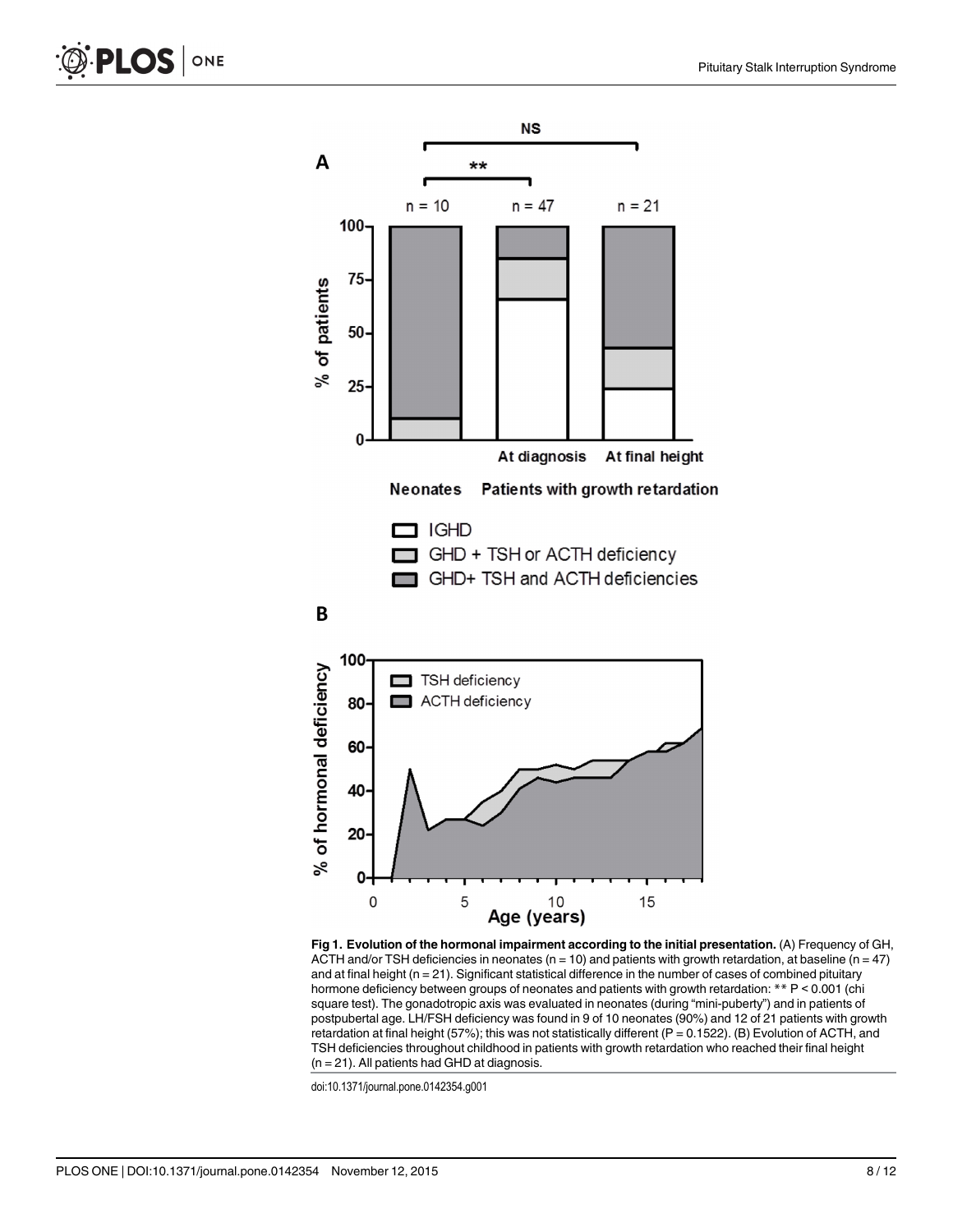<span id="page-7-0"></span>



[Fig 1. E](#page-5-0)volution of the hormonal impairment according to the initial presentation. (A) Frequency of GH, ACTH and/or TSH deficiencies in neonates ( $n = 10$ ) and patients with growth retardation, at baseline ( $n = 47$ ) and at final height (n = 21). Significant statistical difference in the number of cases of combined pituitary hormone deficiency between groups of neonates and patients with growth retardation: \*\* P < 0.001 (chi square test). The gonadotropic axis was evaluated in neonates (during "mini-puberty") and in patients of postpubertal age. LH/FSH deficiency was found in 9 of 10 neonates (90%) and 12 of 21 patients with growth retardation at final height (57%); this was not statistically different (P = 0.1522). (B) Evolution of ACTH, and TSH deficiencies throughout childhood in patients with growth retardation who reached their final height  $(n = 21)$ . All patients had GHD at diagnosis.

doi:10.1371/journal.pone.0142354.g001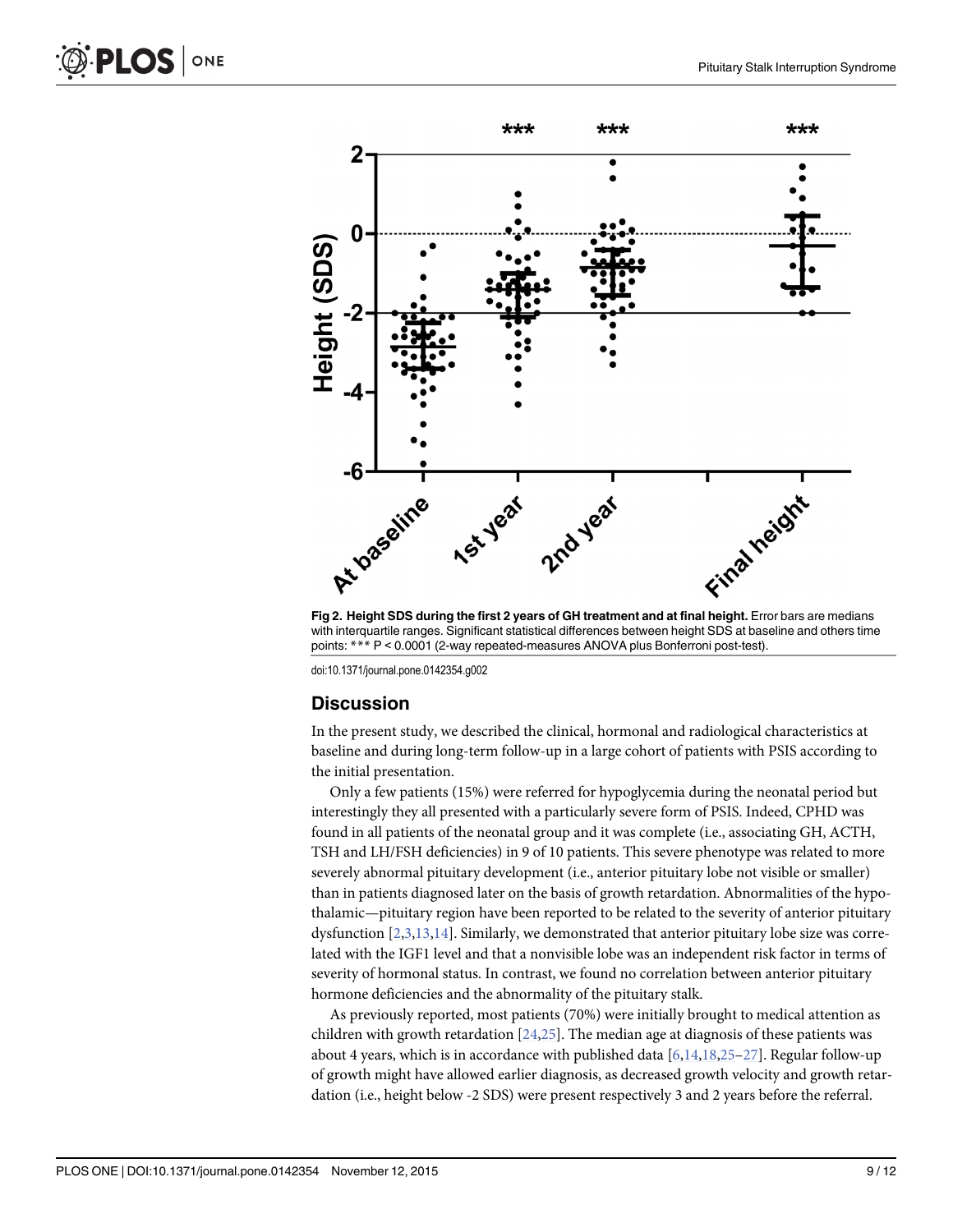<span id="page-8-0"></span>



with interquartile ranges. Significant statistical differences between height SDS at baseline and others time points: \*\*\* P < 0.0001 (2-way repeated-measures ANOVA plus Bonferroni post-test).

doi:10.1371/journal.pone.0142354.g002

#### **Discussion**

In the present study, we described the clinical, hormonal and radiological characteristics at baseline and during long-term follow-up in a large cohort of patients with PSIS according to the initial presentation.

Only a few patients (15%) were referred for hypoglycemia during the neonatal period but interestingly they all presented with a particularly severe form of PSIS. Indeed, CPHD was found in all patients of the neonatal group and it was complete (i.e., associating GH, ACTH, TSH and LH/FSH deficiencies) in 9 of 10 patients. This severe phenotype was related to more severely abnormal pituitary development (i.e., anterior pituitary lobe not visible or smaller) than in patients diagnosed later on the basis of growth retardation. Abnormalities of the hypothalamic—pituitary region have been reported to be related to the severity of anterior pituitary dysfunction  $[2,3,13,14]$  $[2,3,13,14]$  $[2,3,13,14]$  $[2,3,13,14]$  $[2,3,13,14]$ . Similarly, we demonstrated that anterior pituitary lobe size was correlated with the IGF1 level and that a nonvisible lobe was an independent risk factor in terms of severity of hormonal status. In contrast, we found no correlation between anterior pituitary hormone deficiencies and the abnormality of the pituitary stalk.

As previously reported, most patients (70%) were initially brought to medical attention as children with growth retardation  $[24,25]$  $[24,25]$  $[24,25]$  $[24,25]$  $[24,25]$ . The median age at diagnosis of these patients was about 4 years, which is in accordance with published data  $[6,14,18,25-27]$  $[6,14,18,25-27]$  $[6,14,18,25-27]$  $[6,14,18,25-27]$  $[6,14,18,25-27]$ . Regular follow-up of growth might have allowed earlier diagnosis, as decreased growth velocity and growth retardation (i.e., height below -2 SDS) were present respectively 3 and 2 years before the referral.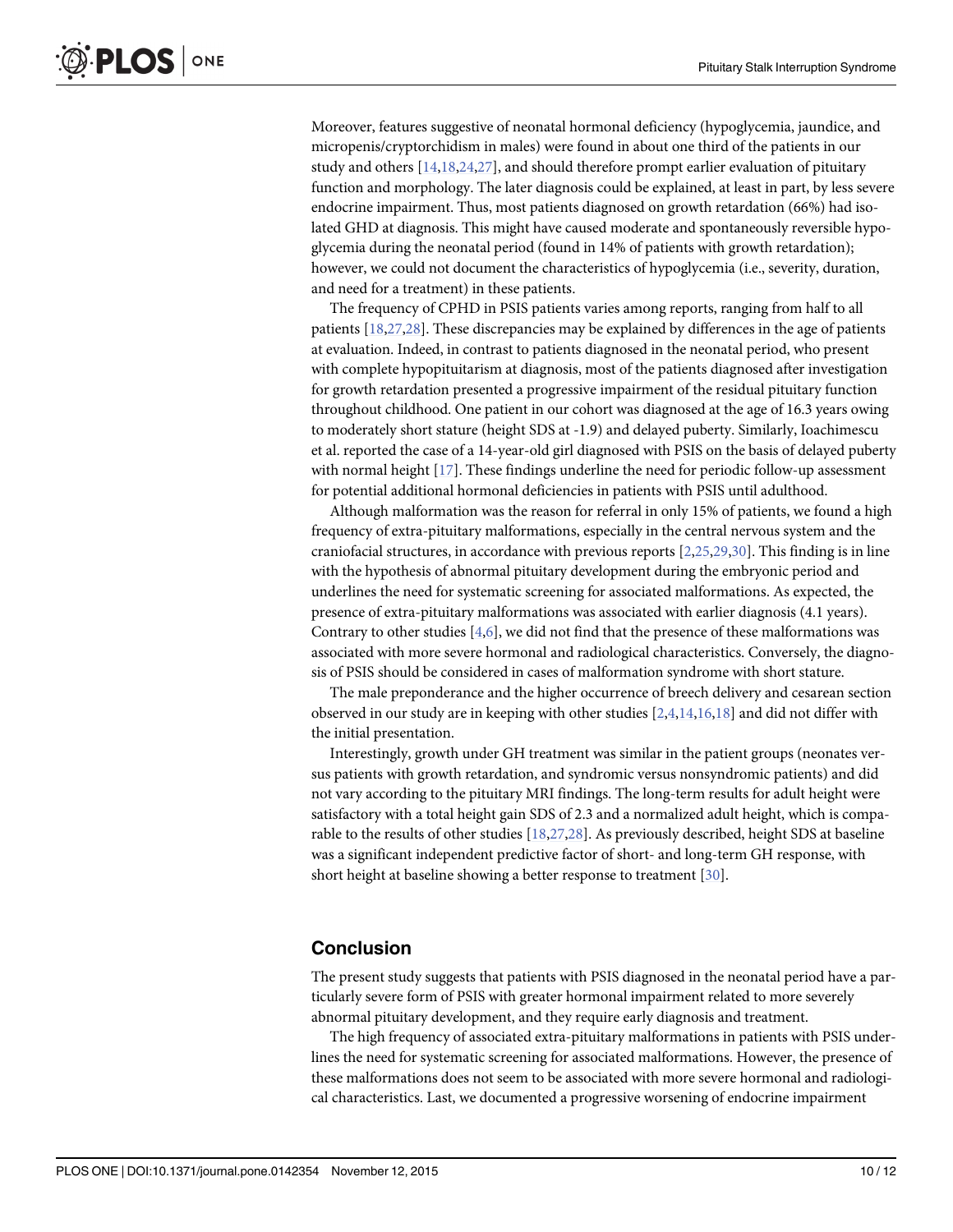<span id="page-9-0"></span>Moreover, features suggestive of neonatal hormonal deficiency (hypoglycemia, jaundice, and micropenis/cryptorchidism in males) were found in about one third of the patients in our study and others  $[14, 18, 24, 27]$  $[14, 18, 24, 27]$  $[14, 18, 24, 27]$ , and should therefore prompt earlier evaluation of pituitary function and morphology. The later diagnosis could be explained, at least in part, by less severe endocrine impairment. Thus, most patients diagnosed on growth retardation (66%) had isolated GHD at diagnosis. This might have caused moderate and spontaneously reversible hypoglycemia during the neonatal period (found in 14% of patients with growth retardation); however, we could not document the characteristics of hypoglycemia (i.e., severity, duration, and need for a treatment) in these patients.

The frequency of CPHD in PSIS patients varies among reports, ranging from half to all patients [\[18,27,28](#page-11-0)]. These discrepancies may be explained by differences in the age of patients at evaluation. Indeed, in contrast to patients diagnosed in the neonatal period, who present with complete hypopituitarism at diagnosis, most of the patients diagnosed after investigation for growth retardation presented a progressive impairment of the residual pituitary function throughout childhood. One patient in our cohort was diagnosed at the age of 16.3 years owing to moderately short stature (height SDS at -1.9) and delayed puberty. Similarly, Ioachimescu et al. reported the case of a 14-year-old girl diagnosed with PSIS on the basis of delayed puberty with normal height  $[17]$  $[17]$  $[17]$ . These findings underline the need for periodic follow-up assessment for potential additional hormonal deficiencies in patients with PSIS until adulthood.

Although malformation was the reason for referral in only 15% of patients, we found a high frequency of extra-pituitary malformations, especially in the central nervous system and the craniofacial structures, in accordance with previous reports [[2](#page-10-0),[25,29,30\]](#page-11-0). This finding is in line with the hypothesis of abnormal pituitary development during the embryonic period and underlines the need for systematic screening for associated malformations. As expected, the presence of extra-pituitary malformations was associated with earlier diagnosis (4.1 years). Contrary to other studies [\[4,6](#page-10-0)], we did not find that the presence of these malformations was associated with more severe hormonal and radiological characteristics. Conversely, the diagnosis of PSIS should be considered in cases of malformation syndrome with short stature.

The male preponderance and the higher occurrence of breech delivery and cesarean section observed in our study are in keeping with other studies [\[2,4,14,](#page-10-0)[16,18](#page-11-0)] and did not differ with the initial presentation.

Interestingly, growth under GH treatment was similar in the patient groups (neonates versus patients with growth retardation, and syndromic versus nonsyndromic patients) and did not vary according to the pituitary MRI findings. The long-term results for adult height were satisfactory with a total height gain SDS of 2.3 and a normalized adult height, which is comparable to the results of other studies [[18,27,28\]](#page-11-0). As previously described, height SDS at baseline was a significant independent predictive factor of short- and long-term GH response, with short height at baseline showing a better response to treatment [\[30\]](#page-11-0).

# Conclusion

The present study suggests that patients with PSIS diagnosed in the neonatal period have a particularly severe form of PSIS with greater hormonal impairment related to more severely abnormal pituitary development, and they require early diagnosis and treatment.

The high frequency of associated extra-pituitary malformations in patients with PSIS underlines the need for systematic screening for associated malformations. However, the presence of these malformations does not seem to be associated with more severe hormonal and radiological characteristics. Last, we documented a progressive worsening of endocrine impairment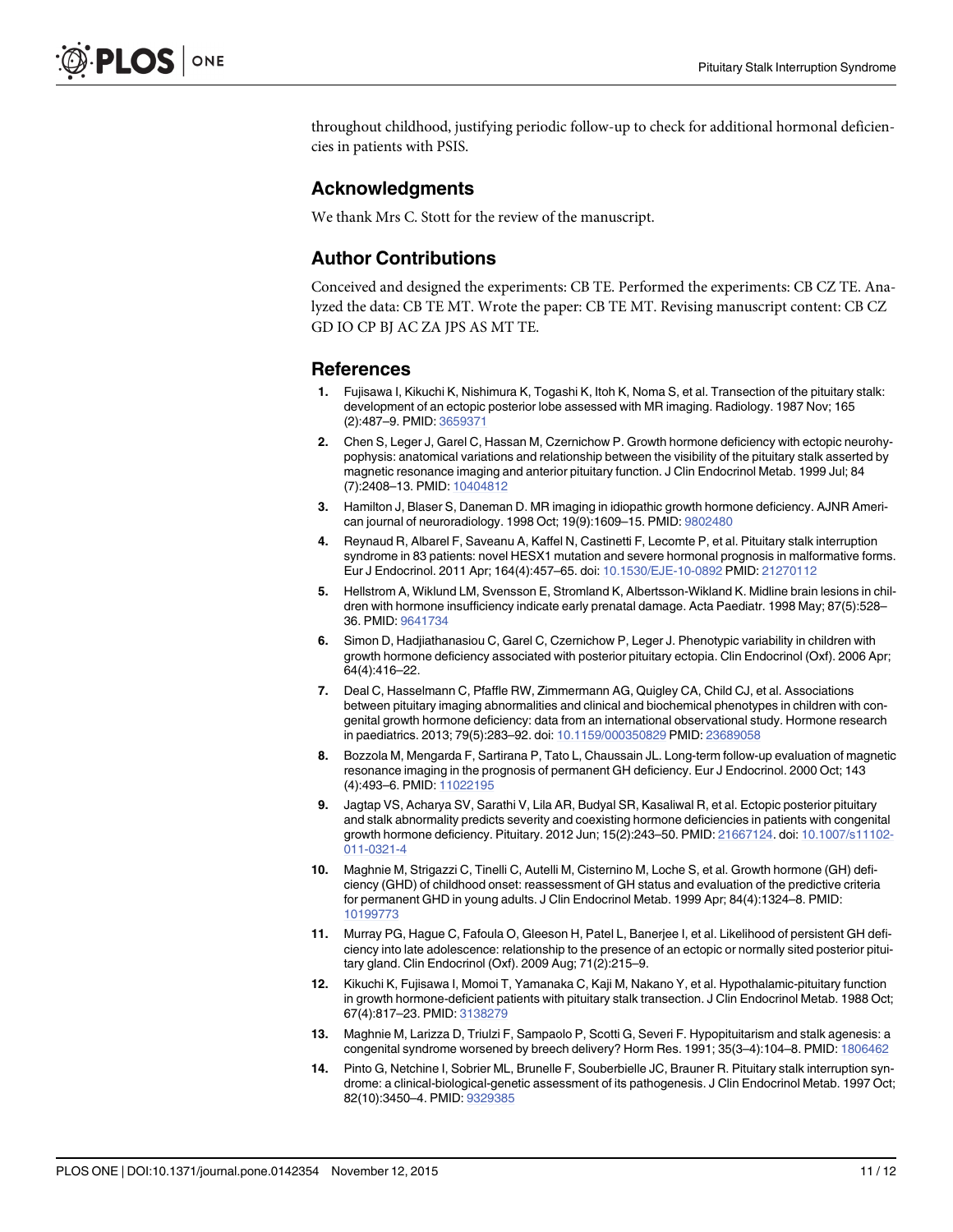<span id="page-10-0"></span>throughout childhood, justifying periodic follow-up to check for additional hormonal deficiencies in patients with PSIS.

#### Acknowledgments

We thank Mrs C. Stott for the review of the manuscript.

#### Author Contributions

Conceived and designed the experiments: CB TE. Performed the experiments: CB CZ TE. Analyzed the data: CB TE MT. Wrote the paper: CB TE MT. Revising manuscript content: CB CZ GD IO CP BJ AC ZA JPS AS MT TE.

#### References

- [1.](#page-1-0) Fujisawa I, Kikuchi K, Nishimura K, Togashi K, Itoh K, Noma S, et al. Transection of the pituitary stalk: development of an ectopic posterior lobe assessed with MR imaging. Radiology. 1987 Nov; 165 (2):487–9. PMID: [3659371](http://www.ncbi.nlm.nih.gov/pubmed/3659371)
- [2.](#page-1-0) Chen S, Leger J, Garel C, Hassan M, Czernichow P. Growth hormone deficiency with ectopic neurohypophysis: anatomical variations and relationship between the visibility of the pituitary stalk asserted by magnetic resonance imaging and anterior pituitary function. J Clin Endocrinol Metab. 1999 Jul; 84 (7):2408-13. PMID: [10404812](http://www.ncbi.nlm.nih.gov/pubmed/10404812)
- [3.](#page-8-0) Hamilton J, Blaser S, Daneman D. MR imaging in idiopathic growth hormone deficiency. AJNR American journal of neuroradiology. 1998 Oct; 19(9):1609–15. PMID: [9802480](http://www.ncbi.nlm.nih.gov/pubmed/9802480)
- [4.](#page-1-0) Reynaud R, Albarel F, Saveanu A, Kaffel N, Castinetti F, Lecomte P, et al. Pituitary stalk interruption syndrome in 83 patients: novel HESX1 mutation and severe hormonal prognosis in malformative forms. Eur J Endocrinol. 2011 Apr; 164(4):457–65. doi: [10.1530/EJE-10-0892](http://dx.doi.org/10.1530/EJE-10-0892) PMID: [21270112](http://www.ncbi.nlm.nih.gov/pubmed/21270112)
- [5.](#page-1-0) Hellstrom A, Wiklund LM, Svensson E, Stromland K, Albertsson-Wikland K. Midline brain lesions in children with hormone insufficiency indicate early prenatal damage. Acta Paediatr. 1998 May; 87(5):528– 36. PMID: [9641734](http://www.ncbi.nlm.nih.gov/pubmed/9641734)
- [6.](#page-1-0) Simon D, Hadjiathanasiou C, Garel C, Czernichow P, Leger J. Phenotypic variability in children with growth hormone deficiency associated with posterior pituitary ectopia. Clin Endocrinol (Oxf). 2006 Apr; 64(4):416–22.
- [7.](#page-1-0) Deal C, Hasselmann C, Pfaffle RW, Zimmermann AG, Quigley CA, Child CJ, et al. Associations between pituitary imaging abnormalities and clinical and biochemical phenotypes in children with congenital growth hormone deficiency: data from an international observational study. Hormone research in paediatrics. 2013; 79(5):283–92. doi: [10.1159/000350829](http://dx.doi.org/10.1159/000350829) PMID: [23689058](http://www.ncbi.nlm.nih.gov/pubmed/23689058)
- [8.](#page-1-0) Bozzola M, Mengarda F, Sartirana P, Tato L, Chaussain JL. Long-term follow-up evaluation of magnetic resonance imaging in the prognosis of permanent GH deficiency. Eur J Endocrinol. 2000 Oct; 143 (4):493–6. PMID: [11022195](http://www.ncbi.nlm.nih.gov/pubmed/11022195)
- 9. Jagtap VS, Acharya SV, Sarathi V, Lila AR, Budyal SR, Kasaliwal R, et al. Ectopic posterior pituitary and stalk abnormality predicts severity and coexisting hormone deficiencies in patients with congenital growth hormone deficiency. Pituitary. 2012 Jun; 15(2):243–50. PMID: [21667124.](http://www.ncbi.nlm.nih.gov/pubmed/21667124) doi: [10.1007/s11102-](http://dx.doi.org/10.1007/s11102-011-0321-4) [011-0321-4](http://dx.doi.org/10.1007/s11102-011-0321-4)
- 10. Maghnie M, Strigazzi C, Tinelli C, Autelli M, Cisternino M, Loche S, et al. Growth hormone (GH) deficiency (GHD) of childhood onset: reassessment of GH status and evaluation of the predictive criteria for permanent GHD in young adults. J Clin Endocrinol Metab. 1999 Apr; 84(4):1324–8. PMID: [10199773](http://www.ncbi.nlm.nih.gov/pubmed/10199773)
- [11.](#page-1-0) Murray PG, Hague C, Fafoula O, Gleeson H, Patel L, Banerjee I, et al. Likelihood of persistent GH deficiency into late adolescence: relationship to the presence of an ectopic or normally sited posterior pituitary gland. Clin Endocrinol (Oxf). 2009 Aug; 71(2):215–9.
- [12.](#page-1-0) Kikuchi K, Fujisawa I, Momoi T, Yamanaka C, Kaji M, Nakano Y, et al. Hypothalamic-pituitary function in growth hormone-deficient patients with pituitary stalk transection. J Clin Endocrinol Metab. 1988 Oct; 67(4):817–23. PMID: [3138279](http://www.ncbi.nlm.nih.gov/pubmed/3138279)
- [13.](#page-1-0) Maghnie M, Larizza D, Triulzi F, Sampaolo P, Scotti G, Severi F. Hypopituitarism and stalk agenesis: a congenital syndrome worsened by breech delivery? Horm Res. 1991; 35(3-4):104-8. PMID: [1806462](http://www.ncbi.nlm.nih.gov/pubmed/1806462)
- [14.](#page-1-0) Pinto G, Netchine I, Sobrier ML, Brunelle F, Souberbielle JC, Brauner R. Pituitary stalk interruption syndrome: a clinical-biological-genetic assessment of its pathogenesis. J Clin Endocrinol Metab. 1997 Oct; 82(10):3450–4. PMID: [9329385](http://www.ncbi.nlm.nih.gov/pubmed/9329385)